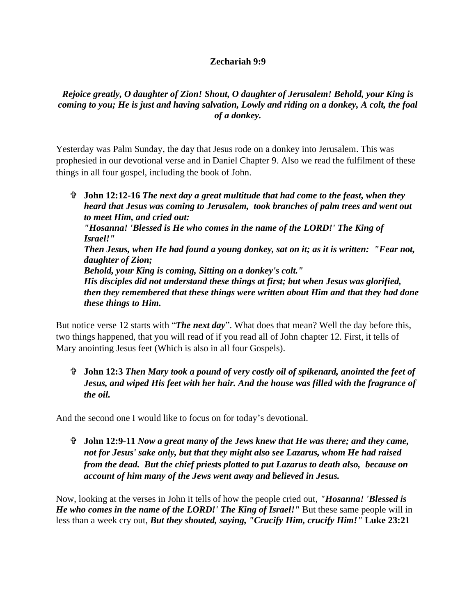## **Zechariah 9:9**

## *Rejoice greatly, O daughter of Zion! Shout, O daughter of Jerusalem! Behold, your King is coming to you; He is just and having salvation, Lowly and riding on a donkey, A colt, the foal of a donkey.*

Yesterday was Palm Sunday, the day that Jesus rode on a donkey into Jerusalem. This was prophesied in our devotional verse and in Daniel Chapter 9. Also we read the fulfilment of these things in all four gospel, including the book of John.

 **John 12:12-16** *The next day a great multitude that had come to the feast, when they heard that Jesus was coming to Jerusalem, took branches of palm trees and went out to meet Him, and cried out: "Hosanna! 'Blessed is He who comes in the name of the LORD!' The King of Israel!" Then Jesus, when He had found a young donkey, sat on it; as it is written: "Fear not, daughter of Zion; Behold, your King is coming, Sitting on a donkey's colt." His disciples did not understand these things at first; but when Jesus was glorified, then they remembered that these things were written about Him and that they had done these things to Him.* 

But notice verse 12 starts with "*The next day*". What does that mean? Well the day before this, two things happened, that you will read of if you read all of John chapter 12. First, it tells of Mary anointing Jesus feet (Which is also in all four Gospels).

 **John 12:3** *Then Mary took a pound of very costly oil of spikenard, anointed the feet of Jesus, and wiped His feet with her hair. And the house was filled with the fragrance of the oil.*

And the second one I would like to focus on for today's devotional.

 **John 12:9-11** *Now a great many of the Jews knew that He was there; and they came, not for Jesus' sake only, but that they might also see Lazarus, whom He had raised from the dead. But the chief priests plotted to put Lazarus to death also, because on account of him many of the Jews went away and believed in Jesus.*

Now, looking at the verses in John it tells of how the people cried out, *"Hosanna! 'Blessed is He who comes in the name of the LORD!' The King of Israel!"* But these same people will in less than a week cry out, *But they shouted, saying, "Crucify Him, crucify Him!"* **Luke 23:21**